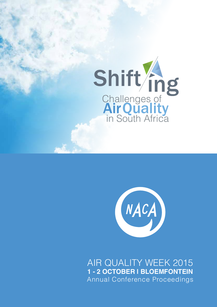



AIR QUALITY WEEK 2015 **1 - 2 OCTOBER | BLOEMFONTEIN** Annual Conference Proceedings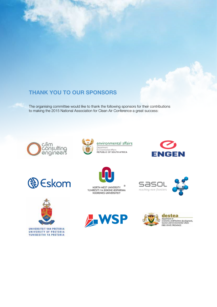# **THANK YOU TO OUR SPONSORS**

The organising committee would like to thank the following sponsors for their contributions to making the 2015 National Association for Clean Air Conference a great success:













 $^{\circ}$ NORTH-WEST UNIVERSITY YUNIBESITI YA BOKONE-BOPHIRIMA NOORDWES-UNIVERSITEIT









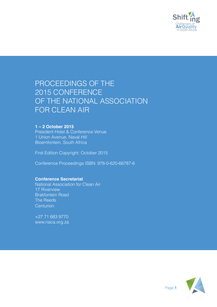

# PROCEEDINGS OF THE 2015 CONFERENCE OF THE NATIONAL ASSOCIATION FOR CLEAN AIR

# **1 – 2 October 2015**

President Hotel & Conference Venue 1 Union Avenue, Naval Hill Bloemfontein, South Africa

First Edition Copyright: October 2015

Conference Proceedings ISBN: 978-0-620-66787-6

# **Conference Secretariat**

National Association for Clean Air 17 Riverview Brakfontein Road The Reeds Centurion

+27 71 683 9770 www.naca.org.za

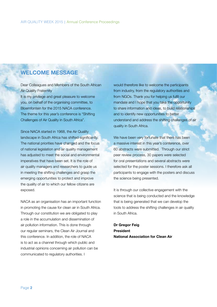# **WELCOME MESSAGE**

Dear Colleagues and Members of the South African Air Quality Fraternity It is my privilege and great pleasure to welcome

you, on behalf of the organising committee, to Bloemfontein for the 2015 NACA conference. The theme for this year's conference is "Shifting Challenges of Air Quality in South Africa".

Since NACA started in 1968, the Air Quality landscape in South Africa has shifted significantly. The national priorities have changed and the focus of national legislation and air quality management has adjusted to meet the social and environmental imperatives that have been set. It is the role of air quality managers and researchers to guide us in meeting the shifting challenges and grasp the emerging opportunities to protect and improve the quality of air to which our fellow citizens are exposed.

NACA as an organisation has an important function in promoting the cause for clean air in South Africa. Through our constitution we are obligated to play a role in the accumulation and dissemination of air pollution information. This is done through our regular seminars, the Clean Air Journal and this conference. In addition, the role of NACA is to act as a channel through which public and industrial opinions concerning air pollution can be communicated to regulatory authorities. I

would therefore like to welcome the participants from industry, from the regulatory authorities and from NGOs. Thank you for helping us fulfil our mandate and I hope that you take the opportunity to share information and ideas, to build relationships and to identify new opportunities to better understand and address the shifting challenges of air quality in South Africa.

We have been very fortunate that there has been a massive interest in this year's conference, over 60 abstracts were submitted. Through our strict peer review process, 30 papers were selected for oral presentations and several abstracts were selected for the poster sessions. I therefore ask all participants to engage with the posters and discuss the science being presented.

It is through our collective engagement with the science that is being conducted and the knowledge that is being generated that we can develop the tools to address the shifting challenges in air quality in South Africa.

**Dr Gregor Feig President National Association for Clean Air**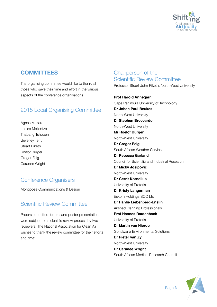

# **COMMITTEES**

The organising committee would like to thank all those who gave their time and effort in the various aspects of the conference organisations.

# 2015 Local Organising Committee

Agnes Makau Louise Mollentze Thabang Tshobeni Beverley Terry Stuart Piketh Roelof Burger Gregor Feig Caradee Wright

# Conference Organisers

Mongoose Communications & Design

# Scientific Review Committee

Papers submitted for oral and poster presentation were subject to a scientific review process by two reviewers. The National Association for Clean Air wishes to thank the review committee for their efforts and time:

# Chairperson of the Scientific Review Committee

Professor Stuart John Piketh, North-West University

**Prof Harold Annegarn** Cape Peninsula University of Technology **Dr Johan Paul Beukes** North-West University **Dr Stephen Broccardo** North-West University **Mr Roelof Burger** North-West University **Dr Gregor Feig** South African Weather Service **Dr Rebecca Garland** Council for Scientific and Industrial Research **Dr Micky Josipovic** North-West University **Dr Gerrit Kornelius** University of Pretoria **Dr Kristy Langerman** Eskom Holdings SOC Ltd **Dr Hanlie Liebenberg-Enslin** Airshed Planning Professionals **Prof Hannes Rautenbach** University of Pretoria **Dr Martin van Nierop** Gondwana Environmental Solutions **Dr Pieter van Zyl** North-West University **Dr Caradee Wright** South African Medical Research Council

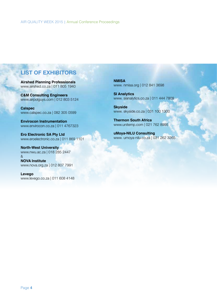# **LIST OF EXHIBITORS**

**Airshed Planning Professionals** www.airshed.co.za | 011 805 1940

**C&M Consulting Engineers** www.airpolguys.com | 012 803 5124

**Calspec** www.calspec.co.za | 082 305 0599

**Envirocon Instrumentation** www.envirocon.co.za | 011 4767323

**Ero Electronic SA Pty Ltd**  www.eroelectronic.co.za | 011 869 1101

**North-West University** www.nwu.ac.za | 018 285 2447 & **NOVA Institute** www.nova.org.za | 012 807 7991

**Levego**

www.levego.co.za | 011 608 4148

**NMISA** www. nmisa.org | 012 841 3698

**SI Analytics** www. sianalytics.co.za | 011 444 7809

**Skyside** www. skyside.co.za | 031 100 1300

**Thermon South Africa** www.unitemp.com | 021 762 8995

**uMoya-NILU Consulting** www. umoya-nilu.co.za | 031 262 3265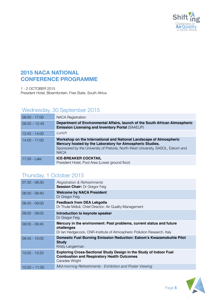

# **2015 NACA NATIONAL CONFERENCE PROGRAMME**

1 - 2 OCTOBER 2015 President Hotel, Bloemfontein, Free State, South Africa

# Wednesday, 30 September 2015

| $08:00 - 17:00$ | <b>NACA Registration</b>                                                                                                                                                                                                            |
|-----------------|-------------------------------------------------------------------------------------------------------------------------------------------------------------------------------------------------------------------------------------|
| $09:30 - 12:45$ | Department of Environmental Affairs, launch of the South African Atmospheric<br><b>Emission Licensing and Inventory Portal (SAAELIP)</b>                                                                                            |
| $12:45 - 14:00$ | Lunch                                                                                                                                                                                                                               |
| $14:00 - 17:00$ | Workshop on the International and National Landscape of Atmospheric<br>Mercury hosted by the Laboratory for Atmospheric Studies.<br>Sponsored by the University of Pretoria, North-West University, SASOL, Eskom and<br><b>NACA</b> |
| 17:30 - Late    | <b>ICE-BREAKER COCKTAIL</b><br>President Hotel, Pool Area (Lower ground floor)                                                                                                                                                      |

# Thursday, 1 October 2015

| $07:30 - 08:30$ | Registration & Refreshments<br><b>Session Chair: Dr Gregor Feig</b>                                                                                            |
|-----------------|----------------------------------------------------------------------------------------------------------------------------------------------------------------|
| $08:30 - 08:40$ | <b>Welcome by NACA President</b><br>Dr Gregor Feig                                                                                                             |
| $08:40 - 09:00$ | <b>Feedback from DEA Lekgotla</b><br>Dr Thulie Mdluli, Chief Director: Air Quality Management                                                                  |
| $09:00 - 09:05$ | Introduction to keynote speaker<br>Dr Gregor Feig                                                                                                              |
| $09:05 - 09:45$ | Mercury in the environment: Past problems, current status and future<br>challenges<br>Dr Ian Hedgecock, CNR-Institute of Atmospheric Pollution Research, Italy |
| $09:45 - 10:05$ | <b>Domestic Fuel Burning Emission Reduction: Eskom's Kwazamokuhle Pilot</b><br><b>Study</b><br>Kristy Langerman                                                |
| $10:05 - 10:25$ | Exploring Cross-Sectional Study Design in the Study of Indoor Fuel<br><b>Combustion and Respiratory Health Outcomes</b><br>Caradee Wright                      |
| $10:25 - 11:00$ | Mid-morning Refreshments - Exhibition and Poster Viewing                                                                                                       |

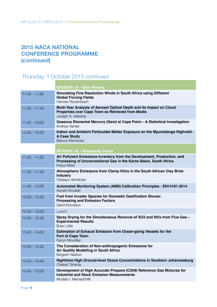# **2015 NACA NATIONAL CONFERENCE PROGRAMME (continued)**

# Thursday, 1 October 2015 continued

|                 | <b>SESSION 1A - Main Plenary</b>                                                                                                                              |
|-----------------|---------------------------------------------------------------------------------------------------------------------------------------------------------------|
| $11:00 - 11:20$ | Simulating Fine Resolution Winds in South Africa using Different<br><b>Global Forcing Fields</b><br>Hannes Rautenbach                                         |
| $11:20 - 11:40$ | Multi-Year Analysis of Aerosol Optical Depth and its Impact on Cloud<br>Properties over Cape Town as Retrieved from Modis<br>Joseph A. Adesina                |
| 11:40 - 12:00   | Gaseous Elemental Mercury (Gem) at Cape Point - A Statistical Investigation<br><b>Andrew Venter</b>                                                           |
| 12:00 - 12:20   | Indoor and Ambient Particulate Matter Exposure on the Mpumalanga Highveld -<br><b>A Case Study</b><br><b>Bianca Wernecke</b>                                  |
|                 | <b>SESSION 1B - Breakaway Venue</b>                                                                                                                           |
| $11:00 - 11:20$ | Air Pollutant Emissions Inventory from the Development, Production, and<br>Processing of Unconventional Gas in the Karoo Basin, South Africa<br>Katye Altieri |
| 11:20 - 11:40   | Atmospheric Emissions from Clamp Kilns in the South African Clay Brick<br><b>Industry</b><br>Oladapo Akinshipe                                                |
| 11:40 - 12:00   | Automated Monitoring System (AMS) Calibration Principles - EN14181:2014<br><b>Gerald Woollatt</b>                                                             |
| $12:00 - 12:20$ | <b>Fuel from Invader Species for Domestic Gasification Stoves:</b><br><b>Processing and Emission Factors</b><br>Gerrit Kornelius                              |
| 12:20 - 13:20   | Lunch                                                                                                                                                         |
| 13:20 - 13:40   | Spray Drying for the Simultaneous Removal of SO2 and NOx from Flue Gas -<br><b>Experimental Results</b><br><b>Brian Little</b>                                |
| 13:40 - 14:00   | <b>Estimation of Exhaust Emission from Ocean-going Vessels for the</b><br><b>Port of Cape Town</b><br>Farryn Moodley                                          |
| 14:00 - 14:20   | The Consideration of Non-anthropogenic Emissions for<br><b>Air Quality Modelling in South Africa</b><br>Mogesh Naidoo                                         |
| 14:20 - 14:40   | Nighttime High Ground-level Ozone Concentrations in Southern Johannesburg<br>Cheledi Tshehla                                                                  |
| 14:40 - 15:00   | Development of High Accurate Propane (C3h8) Reference Gas Mixtures for<br><b>Industrial and Stack Emission Measurements</b><br>Mudalo I. Nemadzhilili         |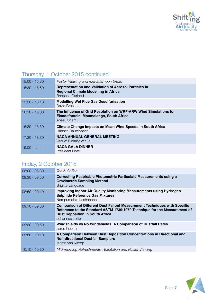

# Thursday, 1 October 2015 continued

| $15:00 - 15:30$ | Poster Viewing and mid-afternoon break                                                                                         |
|-----------------|--------------------------------------------------------------------------------------------------------------------------------|
| $15:30 - 15:50$ | <b>Representation and Validation of Aerosol Particles in</b><br><b>Regional Climate Modelling in Africa</b><br>Rebecca Garland |
| $15:50 - 16:10$ | <b>Modelling Wet Flue Gas Desulfurisation</b><br>David Branken                                                                 |
| $16:10 - 16:30$ | The Influence of Grid Resolution on WRF-ARW Wind Simulations for<br>Elandsfontein, Mpumalanga, South Africa<br>Anesu Shamu     |
| $16:30 - 16:50$ | Climate Change Impacts on Mean Wind Speeds in South Africa<br>Hannes Rautenbach                                                |
| $17:30 - 18:30$ | <b>NACA ANNUAL GENERAL MEETING</b><br>Venue: Plenary Venue                                                                     |
| 19:00 - Late    | <b>NACA GALA DINNER</b><br><b>President Hotel</b>                                                                              |

# Friday, 2 October 2015

| $08:00 - 08:30$ | Tea & Coffee                                                                                                                                                                                                               |
|-----------------|----------------------------------------------------------------------------------------------------------------------------------------------------------------------------------------------------------------------------|
| $08:30 - 08:50$ | <b>Correcting Respirable Photometric Particulate Measurements using a</b><br><b>Gravimetric Sampling Method</b><br><b>Brigitte Language</b>                                                                                |
| $08:50 - 09:10$ | <b>Improving Indoor Air Quality Monitoring Measurements using Hydrogen</b><br><b>Sulphide Reference Gas Mixtures</b><br>Nompumelelo Leshabane                                                                              |
| $09:10 - 09:30$ | <b>Comparison of Different Dust Fallout Measurement Techniques with Specific</b><br>Reference to the Standard ASTM 1739:1970 Technique for the Measurement of<br><b>Dust Deposition in South Africa</b><br>Johannes Lotter |
| $09:30 - 09:50$ | Windshields vs No Windshields: A Comparison of Dustfall Rates<br>Jared Lodder                                                                                                                                              |
| $09:50 - 10:10$ | A Comparison Between Dust Deposition Concentrations in Directional and<br><b>Non-directional Dustfall Samplers</b><br>Martin van Nierop                                                                                    |
| $10:10 - 10:30$ | Mid-morning Refreshments - Exhibition and Poster Viewing                                                                                                                                                                   |

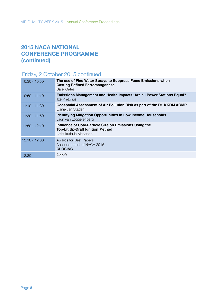# **2015 NACA NATIONAL CONFERENCE PROGRAMME (continued)**

# Friday, 2 October 2015 continued

| $10:30 - 10:50$ | The use of Fine Water Sprays to Suppress Fume Emissions when<br><b>Casting Refined Ferromanganese</b><br>Sarel Gates      |
|-----------------|---------------------------------------------------------------------------------------------------------------------------|
| $10:50 - 11:10$ | <b>Emissions Management and Health Impacts: Are all Power Stations Equal?</b><br><b>Ilze Pretorius</b>                    |
| $11:10 - 11:30$ | Geospatial Assessment of Air Pollution Risk as part of the Dr. KKDM AQMP<br>Elanie van Staden                             |
| $11:30 - 11:50$ | <b>Identifying Mitigation Opportunities in Low Income Households</b><br>Jaun van Loggerenberg                             |
| $11:50 - 12:10$ | Influence of Coal-Particle Size on Emissions Using the<br><b>Top-Lit Up-Draft Ignition Method</b><br>Lethukuthula Masondo |
| $12:10 - 12:30$ | <b>Awards for Best Papers</b><br>Announcement of NACA 2016<br><b>CLOSING</b>                                              |
| 12:30           | Lunch                                                                                                                     |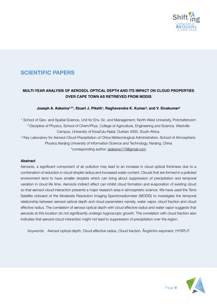

# **SCIENTIFIC PAPERS**

# **MULTI-YEAR ANALYSIS OF AEROSOL OPTICAL DEPTH AND ITS IMPACT ON CLOUD PROPERTIES OVER CAPE TOWN AS RETRIEVED FROM MODIS**

# Joseph A. Adesina<sup>1,2\*</sup>, Stuart J. Piketh<sup>1</sup>, Raghavendra K. Kumar<sup>3</sup>, and V. Sivakumar<sup>2</sup>

<sup>1</sup> School of Geo- and Spatial Science, Unit for Env. Sc. and Management, North-West University, Potchefstroom ² Discipline of Physics, School of Chem/Phys, College of Agriculture, Engineering and Science, Westville Campus, University of KwaZulu-Natal, Durban 4000, South Africa. <sup>3</sup> Key Laboratory for Aerosol-Cloud-Precipitation of China Meteorological Administration, School of Atmospheric Physics,Nanjing University of Information Science and Technology, Nanjing, China \*corresponding author: jadesina173@gmail.com

### **Abstract**

Aerosols, a significant component of air pollution may lead to an increase in cloud optical thickness due to a combination of reduction in cloud droplet radius and increased water content. Clouds that are formed in a polluted environment tend to have smaller droplets which can bring about suppression of precipitation and temporal variation in cloud life time. Aerosols indirect effect can inhibit cloud formation and evaporation of existing cloud so that aerosol-cloud interaction presents a major research area in atmospheric science. We have used the Terra Satellite onboard of the Moderate Resolution Imaging Spectroradiometer (MODIS) to investigate the temporal relationship between aerosol optical depth and cloud parameters namely, water vapor, cloud fraction and cloud effective radius. The correlation of aerosol optical depth with cloud effective radius and water vapor suggests that aerosols at this location do not significantly undergo hygroscopic growth. The correlation with cloud fraction also indicates that aerosol-cloud interaction might not lead to suppression of precipitation over the region.

*Keywords:* Aerosol optical depth, Cloud effective radius, Cloud fraction, Ångström exponent, HYSPLIT

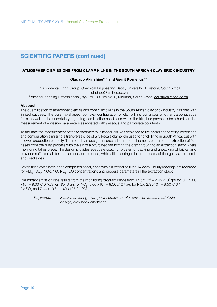#### **ATMOSPHERIC EMISSIONS FROM CLAMP KILNS IN THE SOUTH AFRICAN CLAY BRICK INDUSTRY**

#### **Oladapo Akinshipe\*1,2 and Gerrit Kornelius1,2**

1 Environmental Engr. Group, Chemical Engineering Dept., University of Pretoria, South Africa, oladapo@airshed.co.za <sup>2</sup> Airshed Planning Professionals (Pty) Ltd. PO Box 5260, Midrand, South Africa, gerritk@airshed.co.za

#### **Abstract**

The quantification of atmospheric emissions from clamp kilns in the South African clay brick industry has met with limited success. The pyramid-shaped, complex configuration of clamp kilns using coal or other carbonaceous fuels, as well as the uncertainty regarding combustion conditions within the kiln, has proven to be a hurdle in the measurement of emission parameters associated with gaseous and particulate pollutants.

To facilitate the measurement of these parameters, a model kiln was designed to fire bricks at operating conditions and configuration similar to a transverse slice of a full-scale clamp kiln used for brick firing in South Africa, but with a lower production capacity. The model kiln design ensures adequate confinement, capture and extraction of flue gases from the firing process with the aid of a bifurcated fan forcing the draft through to an extraction stack where monitoring takes place. The design provides adequate spacing to cater for packing and unpacking of bricks, and provides sufficient air for the combustion process, while still ensuring minimum losses of flue gas via the semienclosed sides.

Seven firing cycle have been completed so far, each within a period of 10 to 14 days. Hourly readings are recorded for PM<sub>10</sub>, SO<sub>2</sub>, NOx, NO, NO<sub>2</sub>, CO concentrations and process parameters in the extraction stack.

Preliminary emission rate results from the monitoring program range from 1.25 x10<sup>-1</sup> – 2.45 x10<sup>o</sup> g/s for CO, 5.00 x10<sup>-3</sup> – 9.00 x10<sup>-3</sup> g/s for NO, 0 g/s for NO<sub>2</sub>, 5.00 x10<sup>-3</sup> – 9.00 x10<sup>-3</sup> g/s for NOx, 2.9 x10<sup>-2</sup> – 8.50 x10<sup>-2</sup> for SO<sub>2</sub> and 7.00 x10<sup>-3</sup> – 1.40 x10<sup>-2</sup> for PM<sub>10</sub>.

*Keywords: Stack monitoring, clamp kiln, emission rate, emission factor, model kiln design, clay brick emissions.*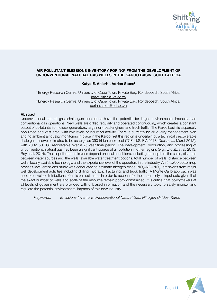

# **AIR POLLUTANT EMISSIONS INVENTORY FOR NOX FROM THE DEVELOPMENT OF UNCONVENTIONAL NATURAL GAS WELLS IN THE KAROO BASIN, SOUTH AFRICA**

# **Katye E. Altieri\*1 , Adrian Stone2**

1 Energy Research Centre, University of Cape Town, Private Bag, Rondebosch, South Africa, katye.altieri@uct.ac.za 2 Energy Research Centre, University of Cape Town, Private Bag, Rondebosch, South Africa, adrian.stone@uct.ac.za

#### **Abstract**

Unconventional natural gas (shale gas) operations have the potential for larger environmental impacts than conventional gas operations. New wells are drilled regularly and operated continuously, which creates a constant output of pollutants from diesel generators, large non-road engines, and truck traffic. The Karoo basin is a sparsely populated and vast area, with low levels of industrial activity. There is currently no air quality management plan and no ambient air quality monitoring in place in the Karoo. Yet this region is underlain by a technically recoverable shale gas reserve estimated to be as large as 390 trillion cubic feet (TCF; U.S. EIA 2013, Decker, J.; Marot 2012), with 20 to 50 TCF recoverable over a 25 year time period. The development, production, and processing of unconventional natural gas has been a significant source of air pollution in other regions (e.g., Litovitz et al. 2013, Roy et al. 2014). The air pollutant emissions depend on local conditions, including the depth of the shale, distance between water sources and the wells, available water treatment options, total number of wells, distance between wells, locally available technology, and the experience level of the operators in the industry. An *in silico* bottom-up process-level emissions study was conducted to estimate nitrogen oxide (NO<sub>x</sub>=NO+NO<sub>2</sub>) emissions from major well development activities including drilling, hydraulic fracturing, and truck traffic. A Monte Carlo approach was used to develop distributions of emission estimates in order to account for the uncertainty in input data given that the exact number of wells and scale of the resource remain poorly constrained. It is critical that policymakers at all levels of government are provided with unbiased information and the necessary tools to safely monitor and regulate the potential environmental impacts of this new industry.

*Keywords: Emissions Inventory, Unconventional Natural Gas, Nitrogen Oxides, Karoo*

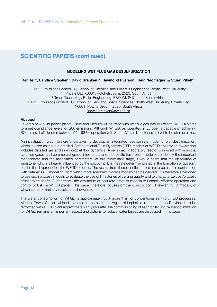#### **MODELING WET FLUE GAS DESULFURIZATION**

## **Arif Arif1 , Candice Stephen2 , David Branken1,\*, Raymond Everson1 , Hein Neomagus1 & Stuart Piketh3**

1 EPPEI Emissions Control SC, School of Chemical and Minerals Engineering, North-West University, Private Bag X6001, Potchefstroom, 2520, South Africa 2 Group Technology Boiler Engineering, ESKOM, SOC (Ltd), South Africa <sup>3</sup>EPPEI Emissions Control SC, School of Geo- and Spatial Sciences, North-West University, Private Bag X6001, Potchefstroom, 2520, South Africa \*dawie.branken@nwu.ac.za

#### **Abstract**

Eskom's new build power plants Kusile and Medupi will be fitted with wet flue gas desulfurization (WFGD) plants to meet compliance levels for SO<sub>2</sub> emissions. Although WFGD, as operated in Europe, is capable of achieving SO $_{_2}$  removal efficiencies between 95 – 98 %, operation with South African limestones are yet to be characterized.

An investigation was therefore undertaken to develop an integrated reaction rate model for wet desulfurization, which is used as input in detailed Computational Fluid Dynamics (CFD) models of WFGD absorption towers that includes detailed gas and slurry droplet flow dynamics. A semi-batch laboratory reactor was used with industrial type flue gases and commercial grade limestones, and the results have been modeled to identify the important mechanisms and the associated parameters. At this preliminary stage, it would seem that the dissolution of limestone, which is heavily influenced by the solution pH, is the rate determining step in the formation of gypsum, i.e. the final byproduct of the WFGD process. The results from these kinetic studies are to be used in conjunction with detailed CFD modeling, from which more simplified process models can be derived. It is therefore envisioned to use such process models to evaluate the use of limestones of varying quality and to characterize cost/process efficiency tradeoffs. Furthermore, the availability of accurate process models will enable efficient operation and control of Eskom WFGD plants. This paper therefore focuses on the construction of relevant CFD models, of which some preliminary results are showcased.

The water consumption for WFGD is approximately 30% more than for conventional semi-dry FGD processes. Medupi Power Station which is situated in the semi-arid region of Lephalale in the Limpopo Province is to be retrofitted with a FGD plant approximately six years after the commissioning of each boiler unit. Water optimization for WFGD remains an important aspect and options to reduce water losses are discussed in this paper.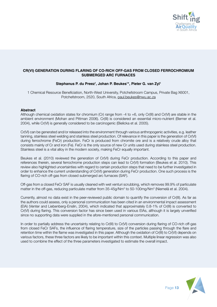

# **CR(VI) GENERATION DURING FLARING OF CO-RICH OFF-GAS FROM CLOSED FERROCHROMIUM SUBMERGED ARC FURNACES**

# **Stephanus P. du Preez<sup>1</sup> , Johan P. Beukes1 \*, Pieter G. van Zyl1**

1 Chemical Resource Beneficiation, North-West University, Potchefstroom Campus, Private Bag X6001, Potchefstroom, 2520, South Africa, paul.beukes@nwu.ac.za

#### **Abstract**

Although chemical oxidation states for chromium (Cr) range from -4 to +6, only Cr(III) and Cr(VI) are stable in the ambient environment (Mohan and Pittman 2006). Cr(III) is considered an essential micro-nutrient (Berner et al. 2004), while Cr(VI) is generally considered to be carcinogenic (Bielicka et al. 2005).

Cr(VI) can be generated and/or released into the environment through various anthropogenic activities, e.g. leather tanning, stainless steel welding and stainless steel production. Of relevance in this paper is the generation of Cr(VI) during ferrochrome (FeCr) production. FeCr is produced from chromite ore and is a relatively crude alloy that consists mainly of Cr and iron (Fe). FeCr is the only source of new Cr units used during stainless steel production. Stainless steel is a vital alloy in the modern society, making FeCr equally important.

Beukes et al. (2010) reviewed the generation of Cr(VI) during FeCr production. According to this paper and references therein, several ferrochrome production steps can lead to Cr(VI) formation (Beukes et al. 2010). This review also highlighted uncertainties with regard to certain production steps that need to be further investigated in order to enhance the current understanding of Cr(VI) generation during FeCr production. One such process is the flaring of CO-rich off-gas from closed submerged arc furnaces (SAF).

Off-gas from a closed FeCr SAF is usually cleaned with wet venturi scrubbing, which removes 99.9% of particulate matter in the off-gas, reducing particulate matter from 35-45g/Nm $^3$  to 50-100mg/Nm $^3$  (Niemelä et al. 2004).

Currently, almost no data exist in the peer-reviewed public domain to quantify the conversion of Cr(III). As far as the authors could assess, only a personal communication has been cited in an environmental impact assessment (EIA) (Venter and Liebenberg-Enslin, 2004), which indicated that approximately 0.8-1% of Cr(III) is converted to Cr(VI) during flaring. This conversion factor has since been used in various EIAs, although it is largely unverified since no supporting data were supplied in the afore-mentioned personal communication.

In order to partially address the uncertainty relating to Cr(III) to Cr(VI) conversion during flaring of CO-rich off-gas from closed FeCr SAFs, the influence of flaring temperature, size of the particles passing through the flare and retention time within the flame was investigated in this paper. Although the oxidation of Cr(III) to Cr(VI) depends on various factors, these three factors are likely to be important within this context. Multiple linear regression was also used to combine the effect of the three parameters investigated to estimate the overall impact.

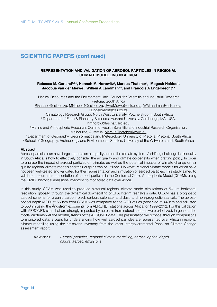# **REPRESENTATION AND VALIDATION OF AEROSOL PARTICLES IN REGIONAL CLIMATE MODELLING IN AFRICA**

### Rebecca M. Garland<sup>1,2,\*</sup>, Hannah M. Horowitz<sup>3</sup>, Marcus Thatcher<sup>4</sup>, Mogesh Naidoo<sup>1</sup>, **Jacobus van der Merwe<sup>1</sup> , Willem A Landman1,5, and Francois A Engelbrecht1,6**

<sup>1</sup> Natural Resources and the Environment Unit, Council for Scientific and Industrial Research, Pretoria, South Africa

RGarland@csir.co.za, MNaidoo4@csir.co.za, JHvdMerwe@csir.co.za, WALandman@csir.co.za,

FEngelbrecht@csir.co.za<br>Climatology Research Group, North West University, Potchefstroom, South Africa

<sup>3</sup> Department of Earth & Planetary Sciences, Harvard University, Cambridge, MA, USA,

hmhorow@fas.harvard.edu

<sup>4</sup>Marine and Atmospheric Research, Commonwealth Scientific and Industrial Research Organisation, Melbourne, Australia, Marcus.Thatcher@csiro.au

5 Department of Geography, Geoinformatics and Meteorology, University of Pretoria, Pretoria, South Africa <sup>6</sup> School of Geography, Archaeology and Environmental Studies, University of the Witwatersrand, South Africa

#### **Abstract**

Aerosol particles can have large impacts on air quality and on the climate system. A shifting challenge in air quality in South Africa is how to effectively consider the air quality and climate co-benefits when crafting policy. In order to analyse the impact of aerosol particles on climate, as well as the potential impacts of climate change on air quality, regional climate models and their outputs can be utilized. However, regional climate models for Africa have not been well-tested and validated for their representation and simulation of aerosol particles. This study aimed to validate the current representation of aerosol particles in the Conformal Cubic Atmospheric Model (CCAM), using the CMIP5 historical emissions inventory, to monitored data over Africa.

In this study, CCAM was used to produce historical regional climate model simulations at 50 km horizontal resolution, globally, through the dynamical downscaling of ERA Interim reanalysis data. CCAM has a prognostic aerosol scheme for organic carbon, black carbon, sulphate, and dust, and non-prognostic sea salt. The aerosol optical depth (AOD) at 550nm from CCAM was compared to the AOD values (observed at 440nm and adjusted to 550nm using the Ångström exponent) from AERONET stations across Africa for 1999-2012. For this validation with AERONET, sites that are strongly impacted by aerosols from natural sources were prioritized. In general, the model captures well the monthly trends of the AERONET data. This presentation will provide, through comparisons to monitored data, a basis for understanding how well aerosol particles are represented over Africa in regional climate modelling using the emissions inventory from the latest Intergovernmental Panel on Climate Change assessment report.

*Keywords: Aerosol particles, regional climate modelling, aerosol optical depth, natural aerosol emissions*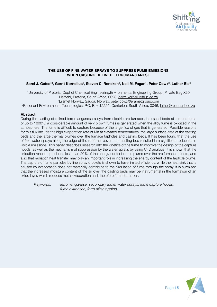

## **THE USE OF FINE WATER SPRAYS TO SUPPRESS FUME EMISSIONS WHEN CASTING REFINED FERROMANGANESE**

# **Sarel J. Gates\*1 , Gerrit Kornelius1 , Steven C. Rencken1 , Neil M. Fagan1 , Peter Cowx<sup>2</sup> , Luther Els3**

1 University of Pretoria, Dept of Chemical Engineering,Environmental Engineering Group, Private Bag X20 Hatfield, Pretoria, South Africa, 0028, gerrit.kornelius@up.ac.za 2 Eramet Norway, Sauda, Norway, peter.cowx@erametgroup.com <sup>3</sup>Resonant Environmental Technologies, P.O. Box 12225, Centurion, South Africa, 0046, <u>luther@resonant.co.za</u>

### **Abstract**

During the casting of refined ferromanganese alloys from electric arc furnaces into sand beds at temperatures of up to 1800°C a considerable amount of very brown fumes is generated when the alloy fume is oxidized in the atmosphere. The fume is difficult to capture because of the large flux of gas that is generated. Possible reasons for this flux include the high evaporation rate of Mn at elevated temperatures, the large surface area of the casting beds and the large thermal plumes over the furnace tapholes and casting beds. It has been found that the use of fine water sprays along the edge of the roof that covers the casting bed resulted in a significant reduction in visible emissions. This paper describes research into the kinetics of the fume to improve the design of the capture hoods, as well as the mechanism of suppression by the water sprays by using CFD analysis. It is shown that the oxidation reaction produces less than 20% of the energy content of the plume over the arc furnace taphole, and also that radiation heat transfer may play an important role in increasing the energy content of the taphole plume. The capture of fume particles by fine spray droplets is shown to have limited efficiency, while the heat sink that is caused by evaporation does not materially contribute to the circulation of fume through the spray. It is surmised that the increased moisture content of the air over the casting beds may be instrumental in the formation of an oxide layer, which reduces metal evaporation and, therefore fume formation.

*Keywords: ferromanganese, secondary fume, water sprays, fume capture hoods, fume extraction, ferro-alloy tapping*

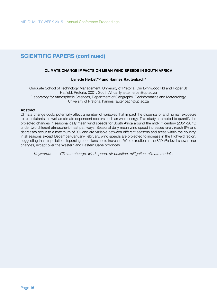# **CLIMATE CHANGE IMPACTS ON MEAN WIND SPEEDS IN SOUTH AFRICA**

#### **Lynette Herbst\*1,2 and Hannes Rautenbach2**

1 Graduate School of Technology Management, University of Pretoria, Cnr Lynnwood Rd and Roper Str, Hatfield, Pretoria, 0001, South Africa, lynette.herbst@up.ac.za 2 Laboratory for Atmospheric Sciences, Department of Geography, Geoinformatics and Meteorology, University of Pretoria, hannes.rautenbach@up.ac.za

#### **Abstract**

Climate change could potentially affect a number of variables that impact the dispersal of and human exposure to air pollutants, as well as climate dependent sectors such as wind energy. This study attempted to quantify the projected changes in seasonal daily mean wind speeds for South Africa around the mid-21st century (2051-2075) under two different atmospheric heat pathways. Seasonal daily mean wind speed increases rarely reach 6% and decreases occur to a maximum of 3% and are variable between different seasons and areas within the country. In all seasons except December-January-February, wind speeds are projected to increase in the Highveld region, suggesting that air pollution dispersing conditions could increase. Wind direction at the 850hPa-level show minor changes, except over the Western and Eastern Cape provinces.

*Keywords: Climate change, wind speed, air pollution, mitigation, climate models.*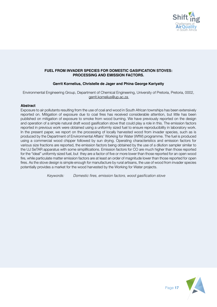

# **FUEL FROM INVADER SPECIES FOR DOMESTIC GASIFICATION STOVES: PROCESSING AND EMISSION FACTORS.**

# **Gerrit Kornelius, Christelle de Jager and Phina George Kariyatty**

Environmental Engineering Group, Department of Chemical Engineering, University of Pretoria, Pretoria, 0002, gerrit.kornelius@up.ac.za

### **Abstract**

Exposure to air pollutants resulting from the use of coal and wood in South African townships has been extensively reported on. Mitigation of exposure due to coal fires has received considerable attention, but little has been published on mitigation of exposure to smoke from wood burning. We have previously reported on the design and operation of a simple natural draft wood gasification stove that could play a role in this. The emission factors reported in previous work were obtained using a uniformly sized fuel to ensure reproducibility in laboratory work. In the present paper, we report on the processing of locally harvested wood from invader species, such as is produced by the Department of Environmental Affairs' Working for Water (WfW) programme. The fuel is produced using a commercial wood chipper followed by sun drying. Operating characteristics and emission factors for various size fractions are reported, the emission factors being obtained by the use of a dilution sampler similar to the UJ SeTAR apparatus with some simplifications. Emission factors for CO are much higher than those reported for the "ideal" uniformly sized fuel, but they are a factor of five or more lower than those reported for an open wood fire, while particulate matter emission factors are at least an order of magnitude lower than those reported for open fires. As the stove design is simple enough for manufacture by rural artisans, the use of wood from invader species potentially provides a market for the wood harvested by the Working for Water projects.

 *Keywords:* Domestic fires, emission factors, wood gasification stove

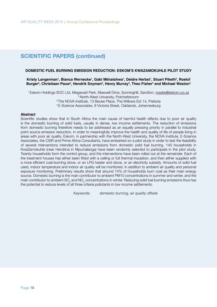#### **DOMESTIC FUEL BURNING EMISSION REDUCTION: ESKOM'S KWAZAMOKUHLE PILOT STUDY**

**Kristy Langerman1 , Bianca Wernecke1 , Gabi Mkhatshwa<sup>1</sup> , Deidre Herbst1 , Stuart Piketh2 , Roelof**  Burger<sup>2</sup>, Christiaan Pauw<sup>3</sup>, Hendrik Snyman<sup>3</sup>, Henry Murray<sup>3</sup>, Theo Fisher<sup>4</sup> and Michael Weston<sup>4</sup>

1 Eskom Holdings SOC Ltd, Megawatt Park, Maxwell Drive, Sunninghill, Sandton, rosske@eskom.co.za 2 North-West University, Potchefstroom <sup>3</sup> The NOVA Institute, 13 Beuke Place, The Willows Ext 14, Pretoria 4 E-Science Associates, 9 Victoria Street, Oaklands, Johannesburg

#### **Abstract**

Scientific studies show that in South Africa the main cause of harmful health effects due to poor air quality is the domestic burning of solid fuels, usually in dense, low income settlements. The reduction of emissions from domestic burning therefore needs to be addressed as an equally pressing priority in parallel to industrial point source emission reduction, in order to meaningfully improve the health and quality of life of people living in areas with poor air quality. Eskom, in partnership with the North-West University, the NOVA Institute, E-Science Associates, the CSIR and Prime Africa Consultants, have embarked on a pilot study in order to test the feasibility of several interventions intended to reduce emissions from domestic solid fuel burning. 140 households in KwaZamokuhle (near Hendrina in Mpumalanga) have been randomly selected to participate in the pilot study. Twenty households form the control group, and the interventions have been rolled out at the remainder. Each of the treatment houses has either been fitted with a ceiling or full thermal insulation, and then either supplied with a more efficient coal-burning stove, or an LPG heater and stove, or an electricity subsidy. Amounts of solid fuel used, indoor temperature and indoor air quality will be monitored, in addition to ambient air quality and personal exposure monitoring. Preliminary results show that around 74% of households burn coal as their main energy source. Domestic burning is the main contributor to ambient PM10 concentrations in summer and winter, and the main contributor to ambient SO<sub>2</sub> and NO<sub>2</sub> concentrations in winter. Reducing solid fuel burning emissions thus has the potential to reduce levels of all three criteria pollutants in low income settlements.

 *Keywords: domestic burning, air quality offsets*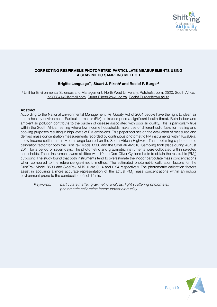

# **CORRECTING RESPIRABLE PHOTOMETRIC PARTICULATE MEASUREMENTS USING A GRAVIMETIC SAMPLING METHOD**

# Brigitte Language<sup>\*1</sup>, Stuart J. Piketh<sup>1</sup> and Roelof P. Burger<sup>1</sup>

1 Unit for Environmental Sciences and Management, North West University, Potchefstroom, 2520, South Africa, bl23034149@gmail.com, Stuart.Piketh@nwu.ac.za, Roelof.Burger@nwu.ac.za

### **Abstract**

According to the National Environmental Management: Air Quality Act of 2004 people have the right to clean air and a healthy environment. Particulate matter (PM) emissions pose a significant health threat. Both indoor and ambient air pollution contribute to the burden of disease associated with poor air quality. This is particularly true within the South African setting where low income households make use of different solid fuels for heating and cooking purposes resulting in high levels of PM emissions. This paper focuses on the evaluation of measured and derived mass concentration measurements recorded by continuous photometric PM instruments within KwaDela, a low income settlement in Mpumalanga located on the South African Highveld. Thus, obtaining a photometric calibration factor for both the DustTrak Model 8530 and the SidePak AM510. Sampling took place during August 2014 for a period of seven days. The photometric and gravimetric instruments were collocated within selected households. These instruments were all fitted with 10mm Dorr-Oliver Cyclone inlets to obtain the respirable (PM<sub>4</sub>) cut-point. The study found that both instruments tend to overestimate the indoor particulate mass concentrations when compared to the reference gravimetric method. The estimated photometric calibration factors for the DustTrak Model 8530 and SidePak AM510 are 0.14 and 0.24 respectively. The photometric calibration factors assist in acquiring a more accurate representation of the actual PM<sub>4</sub> mass concentrations within an indoor environment prone to the combustion of solid fuels.

*Keywords: particulate matter, gravimetric analysis, light scattering photometer, photometric calibration factor; indoor air quality*

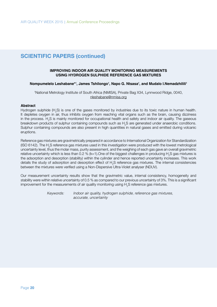#### **IMPROVING INDOOR AIR QUALITY MONITORING MEASUREMENTS USING HYDROGEN SULPHIDE REFERENCE GAS MIXTURES**

### **Nompumelelo Leshabane\*1 , James Tshilongo1 , Napo G. Ntsasa1 , and Mudalo I.Nemadzhilili<sup>1</sup>**

1 National Metrology Institute of South Africa (NMISA), Private Bag X34, Lynnwood Ridge, 0040, nleshabane@nmisa.org

#### **Abstract**

Hydrogen sulphide (H<sub>2</sub>S) is one of the gases monitored by industries due to its toxic nature in human health. It depletes oxygen in air, thus inhibits oxygen from reaching vital organs such as the brain, causing dizziness in the process.  $H_{2}S$  is mainly monitored for occupational health and safety and indoor air quality. The gaseous breakdown products of sulphur containing compounds such as  ${\sf H}_{_2}$ S are generated under anaerobic conditions. Sulphur containing compounds are also present in high quantities in natural gases and emitted during volcanic eruptions.

Reference gas mixtures are gravimetrically prepared in accordance to International Organization for Standardization (ISO 6142). The H<sub>2</sub>S reference gas mixtures used in this investigation were produced with the lowest metrological uncertainty level, thus the molar mass, purity assessment, and the weighing of each gas gave an overall gravimetric relative uncertainty which is less than 0.2 % (k=1).One of the biggest challenges in producing H<sub>2</sub>S gas mixtures is the adsorption and desorption (stability) within the cylinder and hence reported uncertainty increases. This work details the study of adsorption and desorption effect of  ${\sf H}_{2}$ S reference gas mixtures. The internal consistencies between the mixtures were verified using a Non-Dispersive Ultra-Violet analyser (NDUV).

Our measurement uncertainty results show that the gravimetric value, internal consistency, homogeneity and stability were within relative uncertainty of 0.5 % as compared to our previous uncertainty of 3%. This is a significant improvement for the measurements of air quality monitoring using  $\mathsf{H}_{_2}\mathsf{S}$  reference gas mixtures.

> *Keywords: Indoor air quality, hydrogen sulphide, reference gas mixtures, accurate, uncertainty*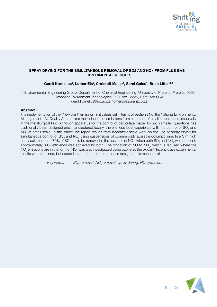

# **SPRAY DRYING FOR THE SIMULTANEOUS REMOVAL OF SO2 AND NOx FROM FLUE GAS – EXPERIMENTAL RESULTS**

# **Gerrit Kornelius1 , Luther Els2 , Christoff Muller1 , Sarel Gates1 , Brian Little\*1,2**

1 Environmental Engineering Group, Department of Chemical Engineering, University of Pretoria, Pretoria, 0002 2 Resonant Environment Technologies, P O Box 12225, Centurion 0046 <sup>1</sup> gerrit.kornelius@up.ac.za <sup>2</sup>luther@resonant.co.za

### **Abstract**

The implementation of the "New plant" emission limit values set in terms of section 21 of the National Environmental Management - Air Quality Act requires the reduction of emissions from a number of smaller operations, especially in the metallurgical field. Although apparatus for the control of particulate matter for such smaller operations has traditionally been designed and manufactured locally, there is less local experience with the control of SO<sub>2</sub> and  $\mathsf{NO}_{\mathsf{x}}$  at small scale. In this paper, we report results from laboratory-scale work on the use of spray drying for simultaneous control of SO<sub>2</sub> and NO<sub>x</sub> using suspensions of commercially available dolomitic lime. In a 3 m high spray column, up to 70% of SO $_2$  could be removed in the absence of NO $_2^,$ ; when both SO $_2^{}$  and NO $_2^{}$  were present, approximately 30% efficiency was achieved for both. The oxidation of NO to NO<sub>2</sub>, which is required where the  $\rm NO_{_X}$  emissions are in the form of  $\rm NO$ , was also investigated using ozone as the oxidant. Inconclusive experimental results were obtained, but sound literature data for the process design of this reaction exists.

> *Keywords:*  $SO<sub>a</sub>$  removal, NO<sub>x</sub> removal, spray drying, NO oxidation.

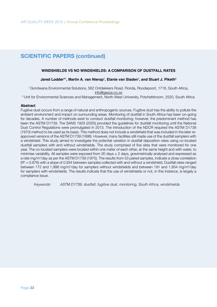#### **WINDSHIELDS VS NO WINDSHIELDS: A COMPARISON OF DUSTFALL RATES**

# Jared Lodder\*<sup>1</sup>, Martin A. van Nierop<sup>1</sup>, Elanie van Staden<sup>1</sup>, and Stuart J. Piketh<sup>2</sup>

1 Gondwana Environmental Solutions, 562 Ontdekkers Road, Florida, Roodepoort, 1716, South Africa, info@gesza.co.za

2 Unit for Environmental Sciences and Management, North-West University, Potchefstroom, 2520, South Africa

#### **Abstract**

Fugitive dust occurs from a range of natural and anthropogenic sources. Fugitive dust has the ability to pollute the ambient environment and impact on surrounding areas. Monitoring of dustfall in South Africa has been on-going for decades. A number of methods exist to conduct dustfall monitoring; however, the predominant method has been the ASTM D1739. The SANS 1929 (2005) provided the guidelines for dustfall monitoring until the National Dust Control Regulations were promulgated in 2013. The introduction of the NDCR required the ASTM D1739 (1970) method to be used as its basis. This method does not include a windshield that was included in the later reapproved versions of the ASTM D1739 (1998). However, many facilities still made use of the dustfall samplers with a windshield. This study aimed to investigate the potential variation in dustfall deposition rates using co-located dustfall samplers with and without windshields. The study comprised of five sites that were monitored for one year. The co-located samplers were located within one meter of each other, at the same height and with water, to minimise variability. All samples were exposed from 30 days  $\pm$  2 days, gravimetrically analysed and expressed as a rate mg/m²/day as per the ASTM D1739 (1970). The results from 53 paired samples, indicate a close correlation ( $R^2$  = 0.876) with a slope of 0.934 between samples collected with and without a windshield. Dustfall rates ranged between 172 and 1,998 mg/m<sup>2</sup>/day for samplers without windshields and between 191 and 1,934 mg/m<sup>2</sup>/day for samplers with windshields. The results indicate that the use of windshields or not, in this instance, is largely a compliance issue.

*Keywords: ASTM D1739, dustfall, fugitive dust, monitoring, South Africa, windshields.*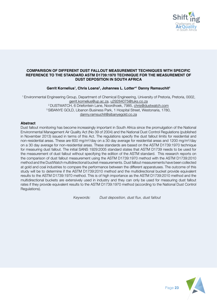

#### **COMPARISON OF DIFFERENT DUST FALLOUT MEASUREMENT TECHNIQUES WITH SPECIFIC REFERENCE TO THE STANDARD ASTM D1739:1970 TECHNIQUE FOR THE MEASUREMENT OF DUST DEPOSITION IN SOUTH AFRICA**

# **Gerrit Kornelius1 , Chris Loans2 , Johannes L. Lotter\*1 Danny Ramsuchit3**

 1 Environmental Engineering Group, Department of Chemical Engineering, University of Pretoria, Pretoria, 0002, gerrit.kornelius@up.ac.za, u29284075@tuks.co.za 2 DUSTWATCH, 6 Driefontein Lane, Noordhoek, 7985, chris@dustwatch.com 3 SIBANYE GOLD, Libanon Business Park, 1 Hospital Street, Westonaria, 1780, danny.ramsuchit@sibanyegold.co.za

### **Abstract**

Dust fallout monitoring has become increasingly important in South Africa since the promulgation of the National Environmental Management Air Quality Act (No 39 of 2004) and the National Dust Control Regulations (published in November 2013) issued in terms of this Act. The regulations specify the dust fallout limits for residential and non-residential areas. These are 600 mg/m<sup>2</sup>/day on a 30 day average for residential areas and 1200 mg/m<sup>2</sup>/day on a 30 day average for non-residential areas. These standards are based on the ASTM D1739:1970 technique for measuring dust fallout. The initial SANS 1929:2005 standard states that ASTM D1739 needs to be used for the measurement of dust fallout without specifying the edition of the ASTM standard. This research reports on the comparison of dust fallout measurement using the ASTM D1739:1970 method with the ASTM D1739:2010 method and the DustWatch multidirectional bucket measurements. Dust fallout measurements have been collected at gold and coal industries to compare the performance between the different apparatuses. The outcome of this study will be to determine if the ASTM D1739:2010 method and the multidirectional bucket provide equivalent results to the ASTM D1739:1970 method. This is of high importance as the ASTM D1739:2010 method and the multidirectional buckets are extensively used in industry and they can only be used for measuring dust fallout rates if they provide equivalent results to the ASTM D1739:1970 method (according to the National Dust Control Regulations).

Keywords: Dust deposition, dust flux, dust fallout

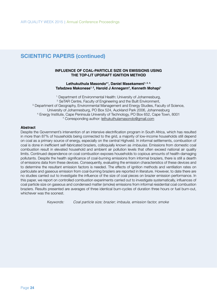#### **INFLUENCE OF COAL-PARTICLE SIZE ON EMISSIONS USING THE TOP-LIT UPDRAFT IGNITION METHOD**

#### Lethukuthula Masondo<sup>\*1</sup>, Daniel Masekameni<sup>1, 2, 3,</sup> **Tafadzwa Makonese1, 2, Harold J Annegarn4 , Kenneth Mohapi1**

<sup>1.</sup> Department of Environmental Health: University of Johannesburg, <sup>2.</sup> SeTAR Centre, Faculty of Engineering and the Built Environment,<br><sup>3.</sup> Department of Geography, Environmental Management and Energy Studies, Faculty of Science, University of Johannesburg, PO Box 524, Auckland Park 2006, Johannesburg 4. Energy Institute, Cape Peninsula University of Technology, PO Box 652, Cape Town, 8001 \* Corresponding author: lethukuthulamasondo@gmail.com

### **Abstract**

Despite the Government's intervention of an intensive electrification program in South Africa, which has resulted in more than 87% of households being connected to the grid, a majority of low-income households still depend on coal as a primary source of energy, especially on the central Highveld. In informal settlements, combustion of coal is done in inefficient self-fabricated braziers, colloquially known as *imbaulas*. Emissions from domestic coal combustion result in elevated household and ambient air pollution levels that often exceed national air quality limits. Continued dependence on coal combustion exposes households to copious amounts of health-damaging pollutants. Despite the health significance of coal-burning emissions from informal braziers, there is still a dearth of emissions data from these devices. Consequently, evaluating the emission characteristics of these devices and to determine the resultant emission factors is needed. The effects of ignition methods and ventilation rates on particulate and gaseous emission from coal-burning braziers are reported in literature. However, to date there are no studies carried out to investigate the influence of the size of coal pieces on brazier emission performance. In this paper, we report on controlled combustion experiments carried out to investigate systematically, influences of coal particle size on gaseous and condensed matter (smoke) emissions from informal residential coal combustion braziers. Results presented are averages of three identical burn-cycles of duration three hours or fuel burn-out, whichever was the soonest.

 *Keywords: Coal particle size; brazier; imbaula, emission factor, smoke*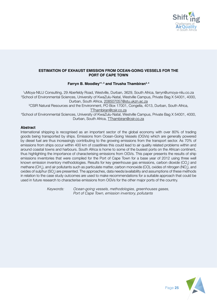

## **ESTIMATION OF EXHAUST EMISSION FROM OCEAN-GOING VESSELS FOR THE PORT OF CAPE TOWN**

### **Farryn B. Moodley\*1, 2 and Tirusha Thambiran3, 4**

1 uMoya-NILU Consulting, 29 Aberfeldy Road, Westville, Durban, 3629, South Africa, farryn@umoya-nilu.co.za 2 School of Environmental Sciences, University of KwaZulu-Natal, Westville Campus, Private Bag X 54001, 4000, Durban, South Africa, 208507057@stu.ukzn.ac.za

3 CSIR Natural Resources and the Environment, PO Box 17001, Congella, 4013, Durban, South Africa, TThambiran@csir.co.za

4 School of Environmental Sciences, University of KwaZulu-Natal, Westville Campus, Private Bag X 54001, 4000, Durban, South Africa, TThambiran@csir.co.za

# **Abstract**

International shipping is recognised as an important sector of the global economy with over 80% of trading goods being transported by ships. Emissions from Ocean-Going Vessels (OGVs) which are generally powered by diesel fuel are thus increasingly contributing to the growing emissions from the transport sector. As 70% of emissions from ships occur within 400 km of coastlines this could lead to air quality related problems within and around coastal towns and harbours. South Africa is home to some of the busiest ports on the African continent, thus highlighting the importance of characterising emissions from OGVs. This paper presents the results of ship emissions inventories that were compiled for the Port of Cape Town for a base year of 2012 using three well known emission inventory methodologies. Results for key greenhouse gas emissions, carbon dioxide (CO<sub>2</sub>) and methane (CH $_{\scriptscriptstyle (}$ ), and air pollutants such as particulate matter, carbon monoxide (CO), oxides of nitrogen (NO $_{\!\scriptscriptstyle \chi}$ ), and oxides of sulphur (SO $_{\!\times}$ ) are presented. The approaches, data needs/availability and assumptions of these methods in relation to the case study outcomes are used to make recommendations for a suitable approach that could be used in future research to characterise emissions from OGVs for the other major ports of the country.

 *Keywords: Ocean-going vessels, methodologies, greenhouses gases, Port of Cape Town, emission inventory, pollutants*

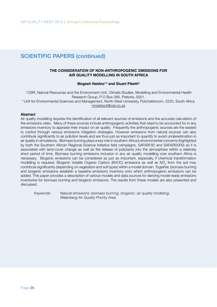### **THE CONSIDERATION OF NON-ANTHROPOGENIC EMISSIONS FOR AIR QUALITY MODELLING IN SOUTH AFRICA**

#### **Mogesh Naidoo1,2 and Stuart Piketh2**

1 CSIR, Natural Resources and the Environment Unit, Climate Studies, Modelling and Environmental Health Research Group, P O Box 395, Pretoria, 0001. <sup>2</sup> Unit for Environmental Sciences and Management, North-West University, Potchefstroom, 2520, South Africa mnaidoo4@csir.co.za

#### **Abstract**

Air quality modelling requires the identification of all relevant sources of emissions and the accurate calculation of the emissions rates. Many of these sources include anthropogenic activities that need to be accounted for in any emissions inventory to appraise their impact on air quality. Frequently the anthropogenic sources are the easiest to control through various emissions mitigation strategies. However emissions from natural sources can also contribute significantly to air pollution levels and are thus just as important to quantify to avoid underestimation in air quality in simulations. Biomass burning plays a key role in southern Africa's environmental concerns (highlighted by both the Southern African Regional Science Initiative field campaigns, SAFARI'92 and SAFARI2000) as it is associated with land-cover change as well as the release of pollutants into the atmosphere within a relatively short period of time. Biomass burning emissions inclusion in any air quality modelling over southern Africa is necessary. Biogenic emissions can be considered as just as important, especially, if chemical transformation modelling is required. Biogenic Volatile Organic Carbon (BVOC) emissions as well as NO<sub>x</sub> from the soil may contribute significantly (depending on vegetation and soil types) within a model domain. Together, biomass burning and biogenic emissions establish a baseline emissions inventory onto which anthropogenic emissions can be added. This paper provides a description of various models and data sources for deriving model ready emissions inventories for biomass burning and biogenic emissions. The results from these models are also presented and discussed.

*Keywords: Natural emissions, biomass burning, biogenic, air quality modeling, Waterberg Air Quality Priority Area*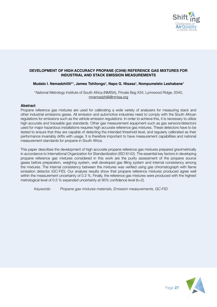

# **DEVELOPMENT OF HIGH ACCURACY PROPANE (C3H8) REFERENCE GAS MIXTURES FOR INDUSTRIAL AND STACK EMISSION MEASUREMENTS**

# **Mudalo I. Nemadzhilili\*<sup>1</sup> , James Tshilongo1 , Napo G. Ntsasa1 , Nompumelelo Leshabane1**

1 National Metrology Institute of South Africa (NMISA), Private Bag X34, Lynnwood Ridge, 0040, mnemadzhilili@nmisa.org

#### **Abstract**

Propane reference gas mixtures are used for calibrating a wide variety of analysers for measuring stack and other industrial emissions gases. All emission and automotive industries need to comply with the South African regulations for emissions such as the vehicle emission regulations. In order to achieve this, it is necessary to utilize high accurate and traceable gas standards. Other gas measurement equipment such as gas sensors/detectors used for major hazardous installations requires high accurate reference gas mixtures. These detectors have to be tested to ensure that they are capable of detecting the intended threshold level, and regularly calibrated as their performance invariably drifts with usage. It is therefore important to have measurement capabilities and national measurement standards for propane in South Africa.

This paper describes the development of high accurate propane reference gas mixtures prepared gravimetrically in accordance to International Organization for Standardization (ISO 6142). The essential key factors in developing propane reference gas mixtures considered in this work are the purity assessment of the propane source gases before preparation, weighing system, well developed gas filling system and internal consistency among the mixtures. The internal consistency between the mixtures was verified using gas chromatograph with flame ionisation detector (GC-FID). Our analysis results show that propane reference mixtures produced agree well within the measurement uncertainty of 0.3 %. Finally, the reference gas mixtures were produced with the highest metrological level of 0.5 % expanded uncertainty at 95% confidence level (k=2).

*Keywords: Propane gas mixtures materials, Emission measurements, GC-FID.*

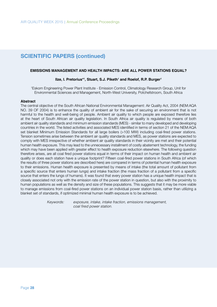#### **EMISSIONS MANAGEMENT AND HEALTH IMPACTS: ARE ALL POWER STATIONS EQUAL?**

### **Ilze, I. Pretorius\*<sup>1</sup> , Stuart, S.J. Piketh1 and Roelof, R.P. Burger1**

1 Eskom Engineering Power Plant Institute - Emission Control, Climatology Research Group, Unit for Environmental Sciences and Management, North-West University, Potchefstroom, South Africa

#### **Abstract**

The central objective of the South African National Environmental Management: Air Quality Act, 2004 (NEM:AQA NO. 39 OF 2004) is to enhance the quality of ambient air for the sake of securing an environment that is not harmful to the health and well-being of people. Ambient air quality to which people are exposed therefore lies at the heart of South African air quality legislation. In South Africa air quality is regulated by means of both ambient air quality standards and minimum emission standards (MES) - similar to many developed and developing countries in the world. The listed activities and associated MES identified in terms of section 21 of the NEM:AQA set blanket Minimum Emission Standards for all large boilers (>100 MW) including coal-fired power stations. Tension sometimes arise between the ambient air quality standards and MES, as power stations are expected to comply with MES irrespective of whether ambient air quality standards in their vicinity are met and their potential human health exposure. This may lead to the unnecessary installment of costly abatement technology, the funding which may have been applied with greater effect to health exposure reduction elsewhere. The following question therefore arises, are all coal fired power stations equal in terms of their impact on human health and ambient air quality or does each station have a unique footprint? Fifteen coal-fired power stations in South Africa (of which the results of three power stations are described here) are compared in terms of potential human health exposure to their emissions. Human health exposure is presented by means of intake (the total amount of pollutant from a specific source that enters human lungs) and intake fraction (the mass fraction of a pollutant from a specific source that enters the lungs of humans). It was found that every power station has a unique health impact that is closely associated not only with the emission rate of the power station in question, but also with the proximity to human populations as well as the density and size of these populations. This suggests that it may be more viable to manage emissions from coal-fired power stations on an individual power station basis, rather than utilizing a blanket set of standards, if optimized minimal human health exposure is to be achieved.

 *Keywords: exposure, intake, intake fraction, emissions management,*  coal fired power station.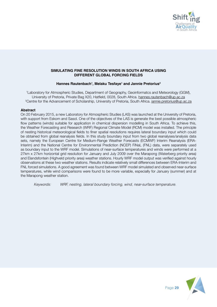

### **SIMULATING FINE RESOLUTION WINDS IN SOUTH AFRICA USING DIFFERENT GLOBAL FORCING FIELDS**

# **Hannes Rautenbach1 , Melaku Tesfaye1 and Jannie Pretorius2**

1 Laboratory for Atmospheric Studies, Department of Geography, Geoinformatcs and Meteorology (GGM), University of Pretoria, Private Bag X20, Hatfield, 0028, South Africa. hannes.rautenbach@up.ac.za <sup>2</sup>Centre for the Advancement of Scholarship, University of Pretoria, South Africa. <u>jannie.pretorius@up.ac.za</u>

#### **Abstract**

On 20 February 2015, a new Laboratory for Atmospheric Studies (LAS) was launched at the University of Pretoria, with support from Eskom and Sasol. One of the objectives of the LAS is generate the best possible atmospheric flow patterns (winds) suitable for application in chemical dispersion modelling in South Africa. To achieve this, the Weather Forecasting and Research (WRF) Regional Climate Model (RCM) model was installed. The principle of nesting historical meteorological fields to finer spatial resolutions requires lateral boundary input which could be obtained from global reanalysis fields. In this study boundary input from two global reanalyses/analysis data sets, namely the European Centre for Medium-Range Weather Forecasts (ECMWF) Interim Reanalysis (ERA-Interim) and the National Centre for Environmental Prediction (NCEP) FiNaL (FNL) data, were separately used as boundary input to the WRF model. Simulations of near-surface temperatures and winds were performed at a 27km x 27km horizontal grid resolution for January and July 2009 over the Marapong (Waterberg priority area) and Elandsfontein (Highveld priority area) weather stations. Hourly WRF model output was verified against hourly observations at these two weather stations. Results indicate relatively small differences between ERA-Interim and FNL forced simulations. A good agreement was found between WRF model simulated and observed near-surface temperatures, while wind comparisons were found to be more variable, especially for January (summer) and at the Marapong weather station.

*Keywords: WRF, nesting, lateral boundary forcing, wind, near-surface temperature.*

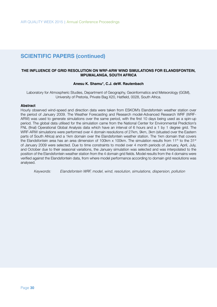### **THE INFLUENCE OF GRID RESOLUTION ON WRF-ARW WIND SIMULATIONS FOR ELANDSFONTEIN, MPUMALANGA, SOUTH AFRICA**

#### **Anesu K. Shamu\*, C.J. deW. Rautenbach**

Laboratory for Atmospheric Studies, Department of Geography, Geoinformatics and Meteorology (GGM), University of Pretoria, Private Bag X20, Hatfield, 0028, South Africa.

#### **Abstract**

Hourly observed wind-speed and direction data were taken from ESKOM's Elandsfontein weather station over the period of January 2009. The Weather Forecasting and Research model-Advanced Research WRF (WRF-ARW) was used to generate simulations over the same period, with the first 10 days being used as a spin-up period. The global data utilised for the simulation came from the National Center for Environmental Prediction's FNL (final) Operational Global Analysis data which have an interval of 6 hours and a 1 by 1 degree grid. The WRF-ARW simulations were performed over 4 domain resolutions of 27km, 9km, 3km (situated over the Eastern parts of South Africa) and a 1km domain over the Elandsfontein weather station. The 1km domain that covers the Elandsfontein area has an area dimension of 100km x 100km. The simulation results from 11<sup>th</sup> to the 31<sup>st</sup> of January 2009 were selected. Due to time constraints to model over 4 month periods of January, April, July, and October due to their seasonal variations, the January simulation was selected and was interpolated to the position of the Elandsfontein weather station from the 4 domain grid fields. Model results from the 4 domains were verified against the Elandsfontein data, from where model performance according to domain grid resolutions was analysed.

*Keywords: Elandsfontein WRF, model, wind, resolution, simulations, dispersion, pollution*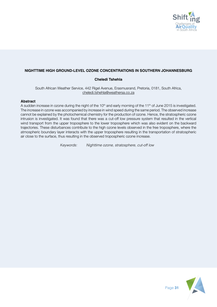

# **NIGHTTIME HIGH GROUND-LEVEL OZONE CONCENTRATIONS IN SOUTHERN JOHANNESBURG**

# **Cheledi Tshehla**

South African Weather Service, 442 Rigel Avenue, Erasmusrand, Pretoria, 0181, South Africa, cheledi.tshehla@weathersa.co.za

#### **Abstract**

A sudden increase in ozone during the night of the 10<sup>th</sup> and early morning of the 11<sup>th</sup> of June 2015 is investigated. The increase in ozone was accompanied by increase in wind speed during the same period. The observed increase cannot be explained by the photochemical chemistry for the production of ozone. Hence, the stratospheric ozone intrusion is investigated. It was found that there was a cut-off low pressure system that resulted in the vertical wind transport from the upper troposphere to the lower troposphere which was also evident on the backward trajectories. These disturbances contribute to the high ozone levels observed in the free troposphere, where the atmospheric boundary layer interacts with the upper troposphere resulting in the transportation of stratospheric air close to the surface, thus resulting in the observed tropospheric ozone increase.

 *Keywords: Nighttime ozone, stratosphere, cut-off low*

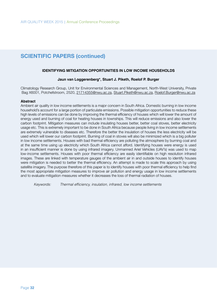#### **IDENTIFYING MITIGATION OPPORTUNITIES IN LOW INCOME HOUSEHOLDS**

#### **Jaun van Loggerenberg\*, Stuart J. Piketh, Roelof P. Burger**

Climatology Research Group, Unit for Environmental Sciences and Management, North-West University, Private Bag X6001, Potchefstroom, 2520, 21714355@nwu.ac.za, Stuart.Piketh@nwu.ac.za, Roelof.Burger@nwu.ac.za

#### **Abstract**

Ambient air quality in low income settlements is a major concern in South Africa. Domestic burning in low income household's account for a large portion of particulate emissions. Possible mitigation opportunities to reduce these high levels of emissions can be done by improving the thermal efficiency of houses which will lower the amount of energy used and burning of coal for heating houses in townships. This will reduce emissions and also lower the carbon footprint. Mitigation measures can include insulating houses better, better coal stoves, better electricity usage etc. This is extremely important to be done in South Africa because people living in low income settlements are extremely vulnerable to diseases etc. Therefore the better the insulation of houses the less electricity will be used which will lower our carbon footprint. Burning of coal in stoves will also be minimized which is a big polluter in low income settlements. Houses with bad thermal efficiency are polluting the atmosphere by burning coal and at the same time using up electricity which South Africa cannot afford. Identifying houses were energy is used in an insufficient manner is done by using infrared imagery. Unmanned Ariel Vehicles (UAV's) was used to map low-income settlements. Houses with poor thermal efficiency are easily identifiable on high resolution infrared images. These are linked with temperature gauges of the ambient air in and outside houses to identify houses were mitigation is needed to better the thermal efficiency. An attempt is made to scale this approach by using satellite imagery. The purpose therefore of this paper is to identify houses with poor thermal efficiency to help find the most appropriate mitigation measures to improve air pollution and energy usage in low income settlements and to evaluate mitigation measures whether it decreases the loss of thermal radiation of houses.

Keywords: Thermal efficiency, insulation, infrared, low income settlements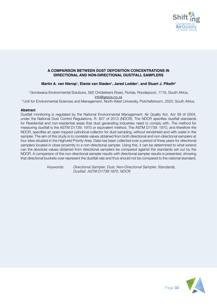

# **A COMPARISON BETWEEN DUST DEPOSITION CONCENTRATIONS IN DIRECTIONAL AND NON-DIRECTIONAL DUSTFALL SAMPLERS**

# **Martin A. van Nierop1 , Elanie van Staden1 , Jared Lodder1 , and Stuart J. Piketh2**

1 Gondwana Environmental Solutions, 562 Ontdekkers Road, Florida, Roodepoort, 1716, South Africa, info@gesza.co.za

2 Unit for Environmental Sciences and Management, North-West University, Potchefstroom, 2520, South Africa.

### **Abstract**

Dustfall monitoring is regulated by the National Environmental Management: Air Quality Act, Act 39 of 2004, under the National Dust Control Regulations, R. 827 of 2013 (NDCR). The NDCR specifies dustfall standards for Residential and non-residential areas that dust generating industries need to comply with. The method for measuring dustfall is the ASTM D1739: 1970 or equivalent method. The ASTM D1739: 1970, and therefore the NDCR, specifies an open-topped cylindrical collector for dust sampling, without windshield and with water in the sampler. The aim of this study is to correlate values obtained from both directional and non-directional samplers at four sites situated in the Highveld Priority Area. Data has been collected over a period of three years for directional samplers located in close proximity to a non-directional sampler. Using this, it can be determined to what extend can the absolute values obtained from directional samplers be compared against the standards set out by the NDCR. A comparison of the non-directional sampler results with directional sampler results is presented, showing that directional buckets over-represent the dustfall rate and thus should not be compared to the national standard.

> *Keywords: Directional Sampler, Dust, Non-Directional Sampler, Standards, Dustfall, ASTM D1739:1970, NDCR.*

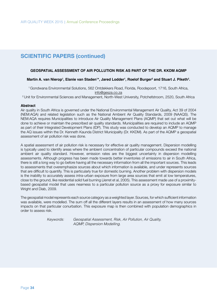### **GEOSPATIAL ASSESSMENT OF AIR POLLUTION RISK AS PART OF THE DR. KKDM AQMP**

### Martin A. van Nierop<sup>1</sup>, Elanie van Staden<sup>1</sup>\*, Jared Lodder<sup>1</sup>, Roelof Burger<sup>2</sup> and Stuart J. Piketh<sup>2</sup>.

1 Gondwana Environmental Solutions, 562 Ontdekkers Road, Florida, Roodepoort, 1716, South Africa, info@gesza.co.za

2 Unit for Environmental Sciences and Management, North-West University, Potchefstroom, 2520, South Africa

#### **Abstract**

Air quality in South Africa is governed under the National Environmental Management Air Quality, Act 39 of 2004 (NEM:AQA) and related legislation such as the National Ambient Air Quality Standards, 2009 (NAAQS). The NEM:AQA requires Municipalities to introduce Air Quality Management Plans (AQMP) that set out what will be done to achieve or maintain the prescribed air quality standards. Municipalities are required to include an AQMP as part of their Integrated Development Plans (IDP). This study was conducted to develop an AQMP to manage the AQ issues within the Dr. Kenneth Kaunda District Municipality (Dr. KKDM). As part of the AQMP a geospatial assessment of air pollution risk was done.

A spatial assessment of air pollution risk is necessary for effective air quality management. Dispersion modelling is typically used to identify areas where the ambient concentration of particular compounds exceed the national ambient air quality standard. However, emission rates are the biggest uncertainty in dispersion modelling assessments. Although progress has been made towards better inventories of emissions to air in South Africa, there is still a long way to go before having all the necessary information from all the important sources. This leads to assessments that overemphasize sources about which information is available, and under represents sources that are difficult to quantify. This is particularly true for domestic burning. Another problem with dispersion models is the inability to accurately assess intra-urban exposure from large area sources that emit at low temperatures, close to the ground, like residential solid fuel burning (Jerret et al, 2005). This assessment made use of a proximitybased geospatial model that uses nearness to a particular pollution source as a proxy for exposure similar to Wright and Diab, 2009.

The geospatial model represents each source category as a weighted layer. Sources, for which sufficient information was available, were modelled. The sum off all the different layers results in an assessment of how many sources impacts on that particular conurbation. This exposure map is then combined with population demographics in order to assess risk.

 *Keywords: Geospatial Assessment, Risk, Air Pollution, Air Quality, AQMP, Dispersion Modelling.*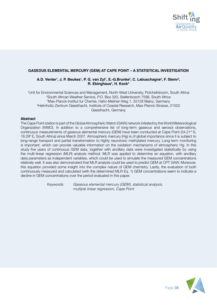

### **GASEOUS ELEMENTAL MERCURY (GEM) AT CAPE POINT – A STATISTICAL INVESTIGATION**

## **A.D. Venter1 , J. P. Beukes1 , P. G. van Zyl1 , E.-G.Brunke2 , C. Labuschagne2 , F. Slemr3 , R. Ebinghaus4 , H. Kock4**

 Unit for Environmental Sciences and Management, North-West University, Potchefstroom, South Africa South African Weather Service, P.O. Box 320, Stellenbosch 7599, South Africa Max-Planck-Institut fur Chemie, Hahn-Meitner-Weg 1, 55128 Mainz, Germany Helmholtz-Zentrum Geesthacht, Institute of Coastal Research, Max-Planck-Strasse, 21502 Geesthacht, Germany

#### **Abstract**

The Cape Point station is part of the Global Atmospheric Watch (GAW) network initiated by the World Meteorological Organization (WMO). In addition to a comprehensive list of long-term gaseous and aerosol observations, continuous measurements of gaseous elemental mercury (GEM) have been conducted at Cape Point (34.21º S, 18.29º E, South Africa) since March 2007. Atmospheric mercury (Hg) is of global importance since it is subject to long-range transport and partial transformation to highly neurotoxic methylated mercury. Long-term monitoring is important, which can provide valuable information on the oxidation mechanisms of atmospheric Hg. In this study five years of continuous GEM data, together with ancillary data were investigated statistically by using the multi-linear regression (MLR) analysis method. MLR was applied to determine an equation, with ancillary data parameters as independent variables, which could be used to simulate the measured GEM concentrations relatively well. It was also demonstrated that MLR analysis could be used to predict GEM at CPT GAW. Moreover, this equation provided some insight into the complex nature of GEM chemistry. Lastly, the evaluation of both continuously measured and calculated (with the determined MLR Eq. 1) GEM concentrations seem to indicate a decline in GEM concentrations over the period evaluated in this paper.

 *Keywords: Gaseous elemental mercury (GEM), statistical analysis, multiple linear regression, Cape Point*

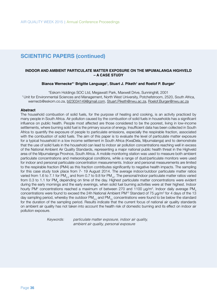### **INDOOR AND AMBIENT PARTICULATE MATTER EXPOSURE ON THE MPUMALANGA HIGHVELD – A CASE STUDY**

### **Bianca Wernecke\*1 Brigitte Language1 , Stuart J. Piketh1 and Roelof P. Burger1**

\*Eskom Holdings SOC Ltd, Megawatt Park, Maxwell Drive, Sunninghill, 2001 1 Unit for Environmental Sciences and Management, North West University, Potchefstroom, 2520, South Africa, wernecb@eskom.co.za, bl23034149@gmail.com, Stuart.Piketh@nwu.ac.za, Roelof.Burger@nwu.ac.za

#### **Abstract**

The household combustion of solid fuels, for the purpose of heating and cooking, is an activity practiced by many people in South Africa. Air pollution caused by the combustion of solid fuels in households has a significant influence on public health. People most affected are those considered to be the poorest, living in low-income settlements, where burning solid fuel is the primary source of energy. Insufficient data has been collected in South Africa to quantify the exposure of people to particulate emissions, especially the respirable fraction, associated with the combustion of solid fuels. The aim of this paper is to evaluate the level of particulate matter exposure for a typical household in a low income settlement in South Africa (KwaDela, Mpumalanga) and to demonstrate that the use of solid fuels in the household can lead to indoor air pollution concentrations reaching well in excess of the National Ambient Air Quality Standards, representing a major national public health threat in the Highveld area of the Mpumalanga Province, South Africa. A mobile monitoring station was used to measure both ambient particulate concentrations and meteorological conditions, while a range of dust/particulate monitors were used for indoor and personal particulate concentration measurements. Indoor and personal measurements are limited to the respirable fraction (PM4) as this fraction contributes significantly to negative health impacts. The sampling for this case study took place from 7- 19 August 2014. The average indoor/outdoor particulate matter ratios varied from 1.6 to 7.1 for PM<sub>2.5</sub> and from 0.7 to 9.8 for PM<sub>10</sub>. The personal/indoor particulate matter ratios varied from 0.3 to 1.1 for PM<sub>4</sub> depending on time of the day. Highest particulate matter concentrations were evident during the early mornings and the early evenings, when solid fuel burning activities were at their highest. Indoor hourly PM<sup>4</sup> concentrations reached a maximum of between 270 and 1100  $\mu$ g/m<sup>3</sup>. Indoor daily average PM<sub>4</sub> concentrations were found to exceed the 24h National Ambient PM<sup>10</sup> Standard of 75  $\mu$ g/m $^3$  for 4 days of the 13 day sampling period, whereby the outdoor  $PM_{2.5}$  and  $PM_{10}$  concentrations were found to be below the standard for the duration of the sampling period. Results indicate that the current focus of national air quality standards on ambient air quality has not taken into account the health risk of domestic burning and its effect on indoor air pollution exposure.

 *Keywords: particulate matter exposure, indoor air quality, ambient air quality, personal exposure*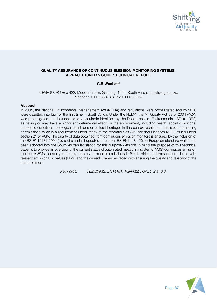

# **QUALITY ASSURANCE OF CONTINUOUS EMISSION MONITORING SYSTEMS: A PRACTITIONER'S GUIDE/TECHNICAL REPORT**

# **G.B Woollatt1**

1 LEVEGO, PO Box 422, Modderfontein, Gauteng, 1645, South Africa, info@levego.co.za, Telephone: 011 608 4148 Fax: 011 608 2621

### **Abstract**

In 2004, the National Environmental Management Act (NEMA) and regulations were promulgated and by 2010 were gazetted into law for the first time in South Africa. Under the NEMA, the Air Quality Act 39 of 2004 (AQA) was promulgated and included priority pollutants identified by the Department of Environmental Affairs (DEA) as having or may have a significant detrimental effect on the environment, including health, social conditions, economic conditions, ecological conditions or cultural heritage. In this context continuous emission monitoring of emissions to air is a requirement under many of the operators as Air Emission Licenses (AEL) issued under section 21 of AQA. The quality of data obtained from continuous emission monitors is ensured by the inclusion of the BS EN14181:2004 (revised standard updated to current BS EN14181:2014) European standard which has been adopted into the South African legislation for this purpose.With this in mind the purpose of this technical paper is to provide an overview of the current status of automated measuring systems (AMS)/continuous emission monitors(CEMs) currently in use by industry to monitor emissions in South Africa, in terms of compliance with relevant emission limit values (ELVs) and the current challenges faced with ensuring the quality and reliability of the data obtained.

 *Keywords: CEMS/AMS, EN14181, TGN-M20, QAL1, 2 and 3*

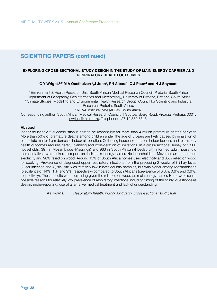### **EXPLORING CROSS-SECTIONAL STUDY DESIGN IN THE STUDY OF MAIN ENERGY CARRIER AND RESPIRATORY HEALTH OUTCOMES**

# **C Y Wright,1,2\* M A Oosthuizen <sup>3</sup> ,J John3 , PN Albers1 , C J Pauw<sup>4</sup> and H J Snyman4**

1 Environment & Health Research Unit, South African Medical Research Council, Pretoria, South Africa 2 Department of Geography, Geoinformatics and Meteorology, University of Pretoria, Pretoria, South Africa.

3 Climate Studies, Modelling and Environmental Health Research Group, Council for Scientific and Industrial

Research, Pretoria, South Africa.

4 NOVA Institute, Mossel Bay, South Africa.

Corresponding author: South African Medical Research Council, 1 Soutpansberg Road, Arcadia, Pretoria, 0001. cwright@mrc.ac.za. Telephone: +27 12 339 8543.

#### **Abstract**

Indoor household fuel combustion is said to be responsible for more than 4 million premature deaths per year. More than 50% of premature deaths among children under the age of 5 years are likely caused by inhalation of particulate matter from domestic indoor air pollution. Collecting household data on indoor fuel use and respiratory health outcomes requires careful planning and consideration of limitations. In a cross-sectional survey of 1 360 households, 397 in Mozambique (Massingir) and 963 in South African (Hoedspruit), informed adult household representatives were asked to report on their main energy carrier. No households in Mozambican homes use electricity and 98% relied on wood. Around 15% of South Africa homes used electricity and 85% relied on wood for cooking. Prevalence of diagnosed upper respiratory infections from the preceding 2 weeks of (1) hay fever, (2) ear infection and (3) sinusitis was relatively low in both country samples, but was higher among Mozambicans (prevalence of 14%, 1% and 9%, respectively) compared to South Africans (prevalence of 0.8%, 0.6% and 0.6%, respectively). These results were surprising given the reliance on wood as main energy carrier. Here, we discuss possible reasons for relatively low prevalence of respiratory infections including timing of the study, questionnaire design, under-reporting, use of alternative medical treatment and lack of understanding.

 *Keywords: Respiratory health, indoor air quality, cross-sectional study, fuel.*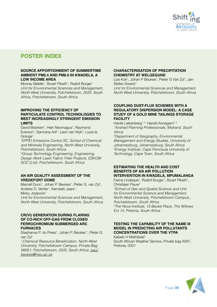

# **POSTER INDEX**

### **SOURCE APPORTIONMENT OF SUMMERTIME AMBIENT PM0.4 AND PM8.0 IN KWADELA, A LOW INCOME AREA**

Monray Belelie<sup>1</sup>, Stuart Piketh<sup>1</sup>, Roelof Burger<sup>1</sup> *Unit for Environmental Sciences and Management, North-West University, Potchefstroom, 2520, South Africa, Potchefstroom, South Africa*

### **IMPROVING THE EFFICIENCY OF PARTICULATE CONTROL TECHNOLOGIES TO MEET INCREASINGLY STRINGENT EMISSION LIMITS**

David Branken<sup>1</sup>, Hein Neomagus<sup>1</sup>, Raymond Everson<sup>1</sup>, Samrana Arif<sup>1</sup>, Leon van Wyk<sup>2</sup>, Louis le Grange<sup>1</sup>

*1 EPPEI Emissions Control SC, School of Chemical and Minerals Engineering, North-West University, Potchefstroom, South Africa*

*2 Group Technology Engineering, Engineering Design Work Lead: Fabric Filter Projects, ESKOM SOC (Ltd), Potchefstroom, South Africa*

#### **AN AIR QUALITY ASSESSMENT OF THE VREDEFORT DOME**

Marcell Dunn<sup>1</sup>, Johan P. Beukes<sup>1</sup>, Pieter G. van Zyl<sup>1</sup>, Andrew D. Venter<sup>1</sup>, Kerneels Jaars<sup>1</sup>,

Micky Josipovic<sup>1</sup>

*Unit for Environmental Sciences and Management, North-West University, Potchefstroom, South Africa*

### **CR(VI) GENERATION DURING FLARING OF CO-RICH OFF-GAS FROM CLOSED FERROCHROMIUM SUBMERGED ARC FURNACES**

Stephanus P. du Preez<sup>1</sup>, Johan P. Beukes<sup>1\*</sup>, Pieter G. van Zyl1

*<sup>1</sup>*Chemical Resource Beneficiation, North-West *University, Potchefstroom Campus, Private Bag X6001, Potchefstroom, 2520, South Africa, paul. beukes@nwu.ac.za*

### **CHARACTERISATION OF PRECIPITATION CHEMISTRY AT WELGEGUND**

Lize Kok<sup>1</sup>, Johan P Beukes<sup>1</sup>, Pieter G Van Zyl<sup>1</sup>, Jan-Stefan Swartz<sup>1</sup>

*Unit for Environmental Sciences and Management, North-West University, Potchefstroom, South Africa*

### **COUPLING DUST-FLUX SCHEMES WITH A REGULATORY DISPERSION MODEL: A CASE STUDY OF A GOLD MINE TAILINGS STORAGE FACILITY**

Hanlie Liebenberg<sup>1, 2,</sup> Harold Annegarn<sup>2, 3</sup> *1 Airshed Planning Professionals, Midrand, South Africa*

*2 Department of Geography, Environmental Management and Energy Studies, University of Johannesburg, Johannesburg, South Africa 3 Energy Institute, Cape Peninsula University of Technology, Cape Town, South Africa*

### **ESTIMATING THE HEALTH AND COST BENEFITS OF AN AIR POLLUTION INTERVENTION IN KWADELA, MPUMALANGA**

Farina Lindeque<sup>1</sup>, Roelof Burger<sup>1</sup>, Stuart Piketh<sup>1</sup>, Christiaan Pauw2

*1 School of Geo and Spatial Science and Unit for Environmental Science and Management, North-West University, Potchefstroom Campus,, Potchefstroom, South Africa*

*2 The Nova Institute, 13 Beuke Place, The Willows Ext 14, Pretoria, South Africa*

## **TESTING THE CAPABILITY OF THE NAME III MODEL IN PREDICTING AIR POLLUTANTS CONCENTRATIONS OVER THE VTPA**

Kabelo H Mathibela\* South African Weather Service, Private bag X097, Pretoria, 0001

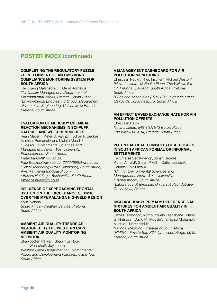# **POSTER INDEX (continued)**

#### **COMPLETING THE REGULATORY PUZZLE - DEVELOPMENT OF AN EMISSIONS COMPLIANCE MONITORING SYSTEM FOR SOUTH AFRICA**

Olebogeng Matshediso<sup>1, 2,</sup> Gerrit Kornelius<sup>2</sup> *1 Air Quality Management; Department of Environmental Affairs, Pretoria, South Africa 2 Environmental Engineering Group, Department of Chemical Engineering, University of Pretoria, Pretoria, South Africa*

#### **EVALUATION OF MERCURY CHEMICAL REACTION MECHANISMS IN SCI-PUFF, CALPUFF AND WRF-CHEM MODELS**

Rean Meyer\*1, Pieter G. van Zyl1, Johan P. Beukes1, Avishkar Ramandh<sup>2</sup> and Maluta Mbedzi<sup>3</sup> *1 Unit for Environmental Sciences and Management, North-West University, Potchefstroom, South Africa, Pieter.VanZyl@nwu.ac.za, Paul.Beukes@nwu.ac.za, 22774688@nwu.ac.za 2 Sasol Technology R&D, Sasolburg, South Africa,* 

*Avishkar.Ramandh@sasol.com*

*3 Eskom Holdings, Rosherville, South Africa, MbedziM@eskom.co.za*

#### **INFLUENCE OF APPROACHING FRONTAL SYSTEM ON THE EXCEEDANCE OF PM10 OVER THE MPUMALANGA HIGHVELD REGION**

Xolile Ncipha *South African Weather Service, Pretoria, South Africa*

#### **AMBIENT AIR QUALITY TRENDS AS MEASURED BY THE WESTERN CAPE AMBIENT AIR QUALITY MONITORING NETWORK**

Bhawoodien Parker<sup>1</sup>, Shawn Le Roux<sup>1</sup>, Leon Wildschut<sup>1</sup>, Joy Leaner<sup>1</sup> *Western Cape Department of Environmental Affairs and Development Planning, Cape Town, South Africa*

#### **A MANAGEMENT DASHBOARD FOR AIR POLLUTION MONITORING**

Christiaan Pauw<sup>1</sup>, Theo Fischer<sup>2</sup>, Michael Weston<sup>2</sup> *1 Nova Institute. 13 Beuke Place, The Willows Ext 14, Pretoria, Gauteng, South Africa, Pretoria, South Africa 2 ESceince Associates (PTY) LTD, 9 Victoria street, Oaklands, Johannesburg, South Africa*

### **AN EFFECT BASED EXCHANGE RATE FOR AIR POLLUTION OFFSETS**

Christiaan Pauw *Nova Institute, INSTITUTE13 Beuke Place, The Willows Ext 14, Pretoria, South Africa*

### **POTENTIAL HEALTH IMPACTS OF AEROSOLS IN SOUTH AFRICAN FORMAL OR INFORMAL SETTLEMENTS**

Keitumetse Segakweng<sup>1</sup>, Johan Beukes<sup>1</sup>, Pieter Van Zyl<sup>1</sup>, Stuart Piketh<sup>1</sup>, Cathy Liousse<sup>2</sup>, Corinne Galy-Lacaux2 *1 Unit for Environmental Sciences and Management, North-West University, Potchefstroom, South Africa 2 Laboratoire d'Aérologie, Université Paul Sabatier, Toulouse III, France*

#### **HIGH ACCURACY PRIMARY REFERENCE GAS MIXTURES FOR AMBIENT AIR QUALITY IN SOUTH AFRICA**

James Tshilongo<sup>1</sup>, Nompumelelo Leshabane<sup>1</sup>, Napo G. Nntsasa<sup>1</sup>, David M. Mogale<sup>1</sup>, Tshepiso Mphamo<sup>1</sup>, Mudalo I. Nemadzhilili<sup>1</sup> *National Metrology Institute of South Africa* 

*(NMISA), Private Bag X34, Lynnwood Ridge, 0040, Pretoria, South Africa*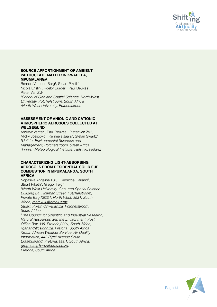

#### **SOURCE APPORTIONMENT OF AMBIENT PARTICULATE MATTER IN KWADELA, MPUMALANGA**

Beanca Van den Berg<sup>1</sup>, Stuart Piketh<sup>1</sup>, Nicola Enslin<sup>1</sup>, Roelof Burger<sup>1</sup>, Paul Beukes<sup>2</sup>, Pieter Van Zyl<sup>2</sup> *1 School of Geo and Spatial Science, North-West University, Potchefstroom, South Africa 2 North-West University, Potchefstroom*

### **ASSESSMENT OF ANIONIC AND CATIONIC ATMOSPHERIC AEROSOLS COLLECTED AT WELGEGUND**

Andrew Venter<sup>1</sup>, Paul Beukes<sup>1</sup>, Pieter van Zyl<sup>1</sup>, Micky Josipovic<sup>1</sup>, Kerneels Jaars<sup>1</sup>, Stefan Swartz<sup>1</sup> *1 Unit for Environmental Sciences and Management, Potchefstroom, South Africa 2 Finnish Meteorological Institute, Helsinki, Finland*

### **CHARACTERIZING LIGHT-ABSORBING AEROSOLS FROM RESIDENTIAL SOLID FUEL COMBUSTION IN MPUMALANGA, SOUTH AFRICA**

Nopasika Angeline Xulu<sup>1</sup>, Rebecca Garland<sup>2</sup>, Stuart Piketh<sup>1</sup>, Gregor Feig<sup>3</sup> *1 North West University, Geo. and Spatial Science Building E4, Hoffman Street, Potchefstroom, Private Bag X6001, North West, 2531, South Africa, mamxulu@gmail.com; Stuart. Piketh @nwu.ac.za, Potchefstroom, South Africa 2* The Council for Scientific and Industrial Research, *Natural Resources and the Environment, Post*  Office Box 395, Pretoria,0001, South Africa, *rgarland@csir.co.za, Pretoria, South Africa 3 South African Weather Service, Air Quality Information, 442 Rigel Avenue South Erasmusrand, Pretoria, 0001, South Africa,* 

*gregor.feig@weathersa.co.za, Pretoria, South Africa*